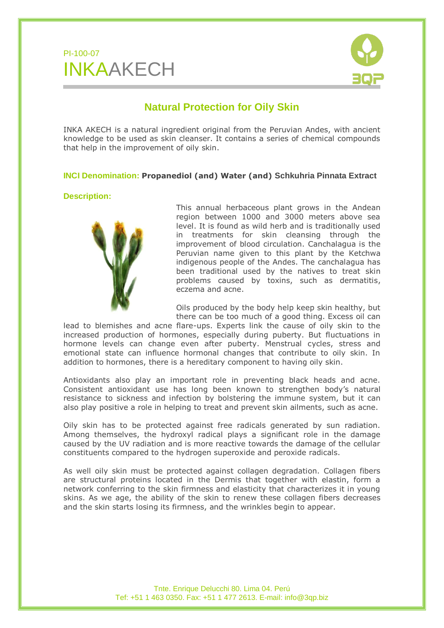



# **Natural Protection for Oily Skin**

INKA AKECH is a natural ingredient original from the Peruvian Andes, with ancient knowledge to be used as skin cleanser. It contains a series of chemical compounds that help in the improvement of oily skin.

## **INCI Denomination: Propanediol (and) Water (and) Schkuhria Pinnata Extract**

### **Description:**



This annual herbaceous plant grows in the Andean region between 1000 and 3000 meters above sea level. It is found as wild herb and is traditionally used in treatments for skin cleansing through the improvement of blood circulation. Canchalagua is the Peruvian name given to this plant by the Ketchwa indigenous people of the Andes. The canchalagua has been traditional used by the natives to treat skin problems caused by toxins, such as dermatitis, eczema and acne.

Oils produced by the body help keep skin healthy, but there can be too much of a good thing. Excess oil can

lead to blemishes and acne flare-ups. Experts link the cause of oily skin to the increased production of hormones, especially during puberty. But fluctuations in hormone levels can change even after puberty. Menstrual cycles, stress and emotional state can influence hormonal changes that contribute to oily skin. In addition to hormones, there is a hereditary component to having oily skin.

Antioxidants also play an important role in preventing black heads and acne. Consistent antioxidant use has long been known to strengthen body's natural resistance to sickness and infection by bolstering the immune system, but it can also play positive a role in helping to treat and prevent skin ailments, such as acne.

Oily skin has to be protected against free radicals generated by sun radiation. Among themselves, the hydroxyl radical plays a significant role in the damage caused by the UV radiation and is more reactive towards the damage of the cellular constituents compared to the hydrogen superoxide and peroxide radicals.

As well oily skin must be protected against collagen degradation. Collagen fibers are structural proteins located in the Dermis that together with elastin, form a network conferring to the skin firmness and elasticity that characterizes it in young skins. As we age, the ability of the skin to renew these collagen fibers decreases and the skin starts losing its firmness, and the wrinkles begin to appear.